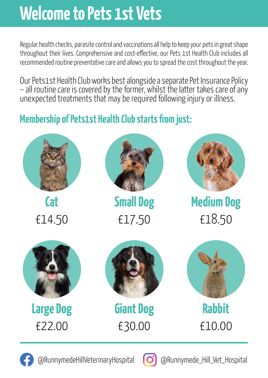# **Welcome to Pets 1st Vets**

Regular health checks, parasite control and vaccinations all help to keep your pets in great shape throughout their lives. Comprehensive and cost-effective, our Pets 1st Health Club includes all recommended routine preventative care and allows you to spread the cost throughout the year.

Our Pets1st Health Club works best alongside a separate Pet Insurance Policy – all routine care is covered by the former, whilst the latter takes care of any unexpected treatments that may be required following injury or illness.

## **Membership of Pets1st Health Club starts from just:**



@RunnymedeHillVeterinaryHospital **[O]** @Runnymede Hill Vet Hospital